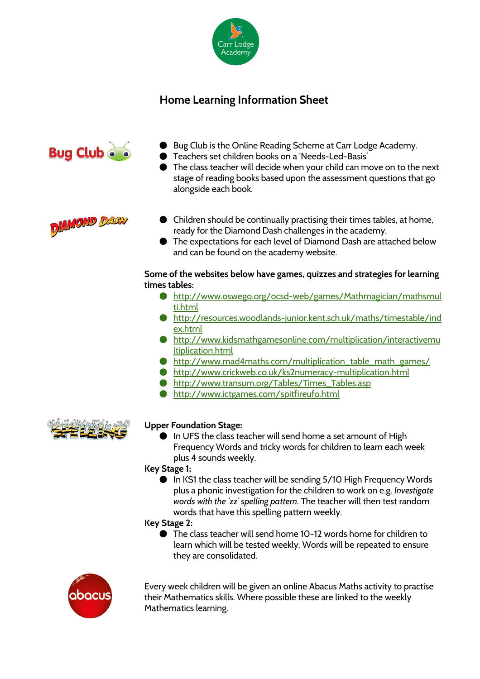

# **Home Learning Information Sheet**



- Bug Club is the Online Reading Scheme at Carr Lodge Academy.
- Teachers set children books on a 'Needs-Led-Basis'
- The class teacher will decide when your child can move on to the next stage of reading books based upon the assessment questions that go alongside each book.



- Children should be continually practising their times tables, at home, ready for the Diamond Dash challenges in the academy.
- The expectations for each level of Diamond Dash are attached below and can be found on the academy website.

### **Some of the websites below have games, quizzes and strategies for learning times tables:**

- [http://www.oswego.org/ocsd-web/games/Mathmagician/mathsmul](http://www.oswego.org/ocsd-web/games/Mathmagician/mathsmulti.html) [ti.html](http://www.oswego.org/ocsd-web/games/Mathmagician/mathsmulti.html)
- [http://resources.woodlands-junior.kent.sch.uk/maths/timestable/ind](http://resources.woodlands-junior.kent.sch.uk/maths/timestable/index.html) [ex.html](http://resources.woodlands-junior.kent.sch.uk/maths/timestable/index.html)
- [http://www.kidsmathgamesonline.com/multiplication/interactivemu](http://www.kidsmathgamesonline.com/multiplication/interactivemultiplication.html) [ltiplication.html](http://www.kidsmathgamesonline.com/multiplication/interactivemultiplication.html)
- [http://www.mad4maths.com/multiplication\\_table\\_math\\_games/](http://www.mad4maths.com/multiplication_table_math_games/)
- <http://www.crickweb.co.uk/ks2numeracy-multiplication.html>
- [http://www.transum.org/Tables/Times\\_Tables.asp](http://www.transum.org/Tables/Times_Tables.asp)
- <http://www.ictgames.com/spitfireufo.html>



## **Upper Foundation Stage:**

● In UFS the class teacher will send home a set amount of High Frequency Words and tricky words for children to learn each week plus 4 sounds weekly.

**Key Stage 1:**

● In KS1 the class teacher will be sending 5/10 High Frequency Words plus a phonic investigation for the children to work on e.g. *Investigate words with the 'zz' spelling pattern.* The teacher will then test random words that have this spelling pattern weekly.

#### **Key Stage 2:**

● The class teacher will send home 10-12 words home for children to learn which will be tested weekly. Words will be repeated to ensure they are consolidated.



Every week children will be given an online Abacus Maths activity to practise their Mathematics skills. Where possible these are linked to the weekly Mathematics learning.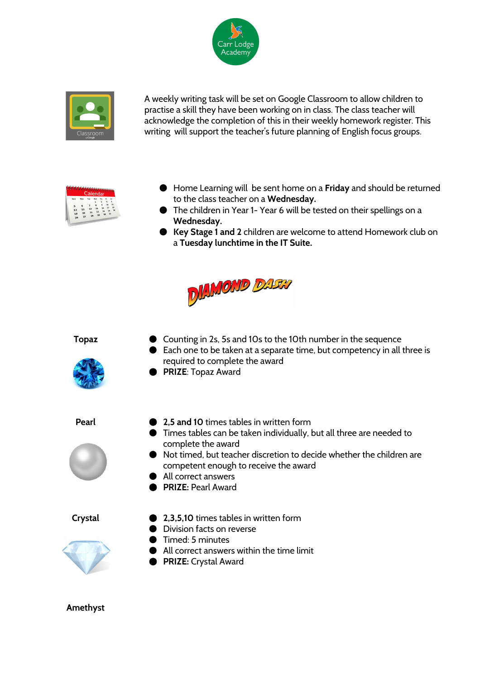



A weekly writing task will be set on Google Classroom to allow children to practise a skill they have been working on in class. The class teacher will acknowledge the completion of this in their weekly homework register. This writing will support the teacher's future planning of English focus groups.

- Home Learning will be sent home on a **Friday** and should be returned to the class teacher on a **Wednesday.**
	- The children in Year 1- Year 6 will be tested on their spellings on a **Wednesday.**
	- **Key Stage 1 and 2**children are welcome to attend Homework club on a **Tuesday lunchtime in the IT Suite.**



- **Topaz** Counting in 2s, 5s and 10s to the 10th number in the sequence
	- Each one to be taken at a separate time, but competency in all three is required to complete the award
	- **PRIZE**: Topaz Award
- 



- **Pearl 2,5 and 10** times tables in written form
	- Times tables can be taken individually, but all three are needed to complete the award
	- Not timed, but teacher discretion to decide whether the children are competent enough to receive the award
	- All correct answers
	- **PRIZE:** Pearl Award



- **Crystal 2,3,5,10** times tables in written form
	- Division facts on reverse
	- Timed: 5 minutes
	- All correct answers within the time limit
	- **PRIZE:** Crystal Award

**Amethyst**